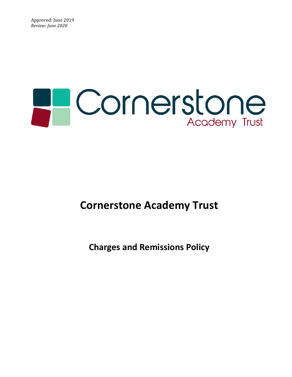# **PCornerstone** Academy Trust

## **Cornerstone Academy Trust**

## **Charges and Remissions Policy**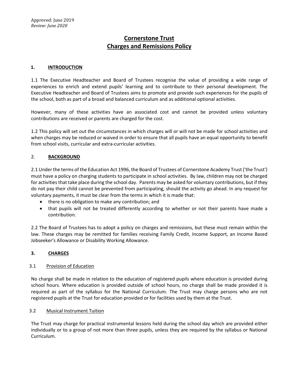### **Cornerstone Trust Charges and Remissions Policy**

#### **1. INTRODUCTION**

1.1 The Executive Headteacher and Board of Trustees recognise the value of providing a wide range of experiences to enrich and extend pupils' learning and to contribute to their personal development. The Executive Headteacher and Board of Trustees aims to promote and provide such experiences for the pupils of the school, both as part of a broad and balanced curriculum and as additional optional activities.

However, many of these activities have an associated cost and cannot be provided unless voluntary contributions are received or parents are charged for the cost.

1.2 This policy will set out the circumstances in which charges will or will not be made for school activities and when charges may be reduced or waived in order to ensure that all pupils have an equal opportunity to benefit from school visits, curricular and extra-curricular activities.

#### 2. **BACKGROUND**

2.1 Under the terms of the Education Act 1996, the Board of Trustees of Cornerstone Academy Trust ('the Trust') must have a policy on charging students to participate in school activities. By law, children may not be charged for activities that take place during the school day. Parents may be asked for voluntary contributions, but if they do not pay their child cannot be prevented from participating, should the activity go ahead. In any request for voluntary payments, it must be clear from the terms in which it is made that:

- there is no obligation to make any contribution; and
- that pupils will not be treated differently according to whether or not their parents have made a contribution.

2.2 The Board of Trustees has to adopt a policy on charges and remissions, but these must remain within the law. These charges may be remitted for families receiving Family Credit, Income Support, an Income Based Jobseeker's Allowance or Disability Working Allowance.

#### **3. CHARGES**

#### 3.1 Provision of Education

No charge shall be made in relation to the education of registered pupils where education is provided during school hours. Where education is provided outside of school hours, no charge shall be made provided it is required as part of the syllabus for the National Curriculum. The Trust may charge persons who are not registered pupils at the Trust for education provided or for facilities used by them at the Trust.

#### 3.2 Musical Instrument Tuition

The Trust may charge for practical instrumental lessons held during the school day which are provided either individually or to a group of not more than three pupils, unless they are required by the syllabus or National Curriculum.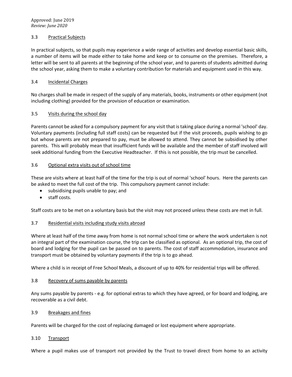#### 3.3 Practical Subjects

In practical subjects, so that pupils may experience a wide range of activities and develop essential basic skills, a number of items will be made either to take home and keep or to consume on the premises. Therefore, a letter will be sent to all parents at the beginning of the school year, and to parents of students admitted during the school year, asking them to make a voluntary contribution for materials and equipment used in this way.

#### 3.4 Incidental Charges

No charges shall be made in respect of the supply of any materials, books, instruments or other equipment (not including clothing) provided for the provision of education or examination.

#### 3.5 Visits during the school day

Parents cannot be asked for a compulsory payment for any visit that is taking place during a normal 'school' day. Voluntary payments (including full staff costs) can be requested but if the visit proceeds, pupils wishing to go but whose parents are not prepared to pay, must be allowed to attend. They cannot be subsidised by other parents. This will probably mean that insufficient funds will be available and the member of staff involved will seek additional funding from the Executive Headteacher. If this is not possible, the trip must be cancelled.

#### 3.6 Optional extra visits out of school time

These are visits where at least half of the time for the trip is out of normal 'school' hours. Here the parents can be asked to meet the full cost of the trip. This compulsory payment cannot include:

- subsidising pupils unable to pay; and
- staff costs.

Staff costs are to be met on a voluntary basis but the visit may not proceed unless these costs are met in full.

#### 3.7 Residential visits including study visits abroad

Where at least half of the time away from home is not normal school time or where the work undertaken is not an integral part of the examination course, the trip can be classified as optional. As an optional trip, the cost of board and lodging for the pupil can be passed on to parents. The cost of staff accommodation, insurance and transport must be obtained by voluntary payments if the trip is to go ahead.

Where a child is in receipt of Free School Meals, a discount of up to 40% for residential trips will be offered.

#### 3.8 Recovery of sums payable by parents

Any sums payable by parents - e.g. for optional extras to which they have agreed, or for board and lodging, are recoverable as a civil debt.

#### 3.9 Breakages and fines

Parents will be charged for the cost of replacing damaged or lost equipment where appropriate.

#### 3.10 Transport

Where a pupil makes use of transport not provided by the Trust to travel direct from home to an activity